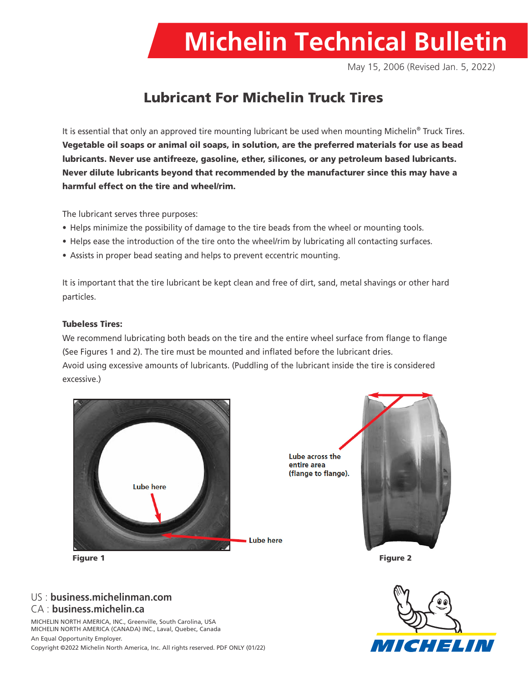

May 15, 2006 (Revised Jan. 5, 2022)

# Lubricant For Michelin Truck Tires

It is essential that only an approved tire mounting lubricant be used when mounting Michelin<sup>®</sup> Truck Tires. Vegetable oil soaps or animal oil soaps, in solution, are the preferred materials for use as bead lubricants. Never use antifreeze, gasoline, ether, silicones, or any petroleum based lubricants. Never dilute lubricants beyond that recommended by the manufacturer since this may have a harmful effect on the tire and wheel/rim.

The lubricant serves three purposes:

- Helps minimize the possibility of damage to the tire beads from the wheel or mounting tools.
- Helps ease the introduction of the tire onto the wheel/rim by lubricating all contacting surfaces.
- Assists in proper bead seating and helps to prevent eccentric mounting.

It is important that the tire lubricant be kept clean and free of dirt, sand, metal shavings or other hard particles.

### Tubeless Tires:

We recommend lubricating both beads on the tire and the entire wheel surface from flange to flange (See Figures 1 and 2). The tire must be mounted and inflated before the lubricant dries. Avoid using excessive amounts of lubricants. (Puddling of the lubricant inside the tire is considered excessive.)



Lube across the entire area (flange to flange).



## US : **business.michelinman.com** CA : **business.michelin.ca**

MICHELIN NORTH AMERICA, INC., Greenville, South Carolina, USA MICHELIN NORTH AMERICA (CANADA) INC., Laval, Quebec, Canada An Equal Opportunity Employer.

Copyright ©2022 Michelin North America, Inc. All rights reserved. PDF ONLY (01/22)